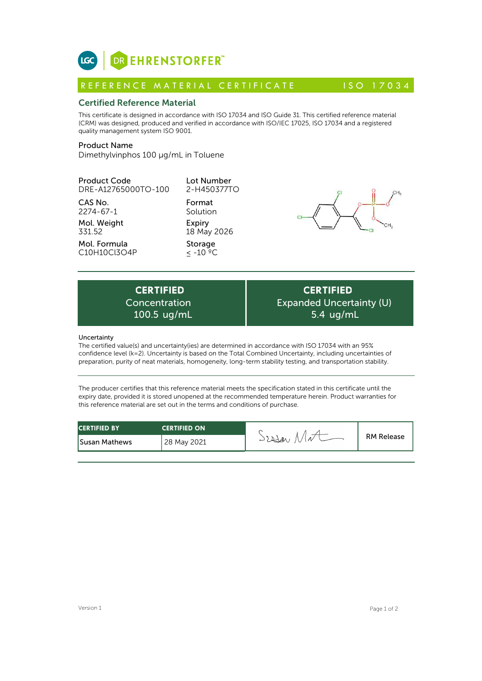

# Certified Reference Material

This certificate is designed in accordance with ISO 17034 and ISO Guide 31. This certified reference material (CRM) was designed, produced and verified in accordance with ISO/IEC 17025, ISO 17034 and a registered quality management system ISO 9001. **ICC**<br> **REFERENCE MATERIAL CERTIFICATE**<br> **REFERENCE MATERIAL CERTIFICATE** ISO 17034<br> **Certified Reference Material**<br>
CFIM) was designed, produced and verified in accordance with ISO 17034 and ISO Guide 31. This certified r

# Product Name

Dimethylvinphos 100 µg/mL in Toluene

### Product Code DRE-A12765000TO-100

CAS No.

2274-67-1

Mol. Weight 331.52

Mol. Formula C10H10Cl3O4P Format Solution Expiry 18 May 2026 Storage

≤ -10 ºC

Lot Number 2-H450377TO



Expiry<br>
18 May 2026<br>
Storage<br>  $\leq -10^{-9}C$ <br>
CERTIFIED<br>
oncentration Exp<br>
100.5 ug/mL<br>  $\left| \frac{1}{2} \right|$ Concentration

# **CERTIFIED** Expanded Uncertainty (U) 5.4 ug/mL

### Uncertainty

The certified value(s) and uncertainty(ies) are determined in accordance with ISO 17034 with an 95% confidence level (k=2). Uncertainty is based on the Total Combined Uncertainty, including uncertainties of preparation, purity of neat materials, homogeneity, long-term stability testing, and transportation stability.

The producer certifies that this reference material meets the specification stated in this certificate until the expiry date, provided it is stored unopened at the recommended temperature herein. Product warranties for this reference material are set out in the terms and conditions of purchase.

| <b>CERTIFIED BY</b>  | <b>CERTIFIED ON</b> |           |                   |
|----------------------|---------------------|-----------|-------------------|
| <b>Susan Mathews</b> | 28 May 2021         | well<br>N | <b>RM Release</b> |